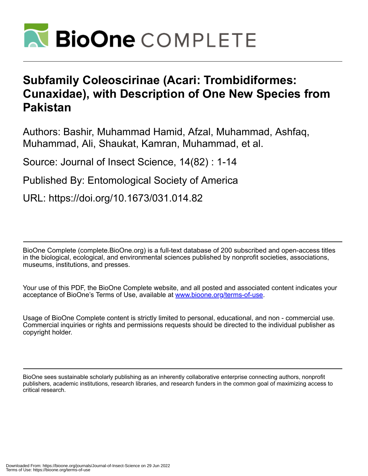

# **Subfamily Coleoscirinae (Acari: Trombidiformes: Cunaxidae), with Description of One New Species from Pakistan**

Authors: Bashir, Muhammad Hamid, Afzal, Muhammad, Ashfaq, Muhammad, Ali, Shaukat, Kamran, Muhammad, et al.

Source: Journal of Insect Science, 14(82) : 1-14

Published By: Entomological Society of America

URL: https://doi.org/10.1673/031.014.82

BioOne Complete (complete.BioOne.org) is a full-text database of 200 subscribed and open-access titles in the biological, ecological, and environmental sciences published by nonprofit societies, associations, museums, institutions, and presses.

Your use of this PDF, the BioOne Complete website, and all posted and associated content indicates your acceptance of BioOne's Terms of Use, available at www.bioone.org/terms-of-use.

Usage of BioOne Complete content is strictly limited to personal, educational, and non - commercial use. Commercial inquiries or rights and permissions requests should be directed to the individual publisher as copyright holder.

BioOne sees sustainable scholarly publishing as an inherently collaborative enterprise connecting authors, nonprofit publishers, academic institutions, research libraries, and research funders in the common goal of maximizing access to critical research.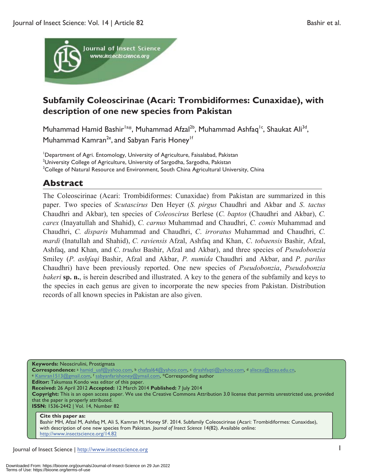

## **Subfamily Coleoscirinae (Acari: Trombidiformes: Cunaxidae), with description of one new species from Pakistan**

Muhammad Hamid Bashir<sup>la\*</sup>, Muhammad Afzal<sup>2b</sup>, Muhammad Ashfaq<sup>1c</sup>, Shaukat Ali<sup>3d</sup>, Muhammad Kamran<sup>2e</sup>, and Sabyan Faris Honey<sup>1f</sup>

<sup>1</sup>Department of Agri. Entomology, University of Agriculture, Faisalabad, Pakistan <sup>21</sup> Iniversity College of Agriculture, University of Sargadha, Sargadha, Pakistan <sup>2</sup>University College of Agriculture, University of Sargodha, Sargodha, Pakistan <sup>3</sup>College of Natural Resource and Environment, South China Agricultural University, China

## **Abstract**

The Coleoscirinae (Acari: Trombidiformes: Cunaxidae) from Pakistan are summarized in this paper. Two species of *Scutascirus* Den Heyer (*S. pirgus* Chaudhri and Akbar and *S*. *tactus*  Chaudhri and Akbar), ten species of *Coleoscirus* Berlese (*C. baptos* (Chaudhri and Akbar), *C. carex* (Inayatullah and Shahid), *C. carnus* Muhammad and Chaudhri, *C. comis* Muhammad and Chaudhri, *C. disparis* Muhammad and Chaudhri, *C*. *irroratus* Muhammad and Chaudhri, *C. mardi* (Inatullah and Shahid), *C. raviensis* Afzal, Ashfaq and Khan, *C*. *tobaensis* Bashir, Afzal, Ashfaq, and Khan, and *C*. *trudus* Bashir, Afzal and Akbar), and three species of *Pseudobonzia* Smiley (*P. ashfaqi* Bashir, Afzal and Akbar, *P. numida* Chaudhri and Akbar, and *P*. *parilus*  Chaudhri) have been previously reported. One new species of *Pseudobonzia*, *Pseudobonzia bakeri* sp. n., is herein described and illustrated. A key to the genera of the subfamily and keys to the species in each genus are given to incorporate the new species from Pakistan. Distribution records of all known species in Pakistan are also given.

**Keywords:** Neoscirulini, Prostigmata

**Correspondence:** a hamid\_uaf@yahoo.com, b chafzal64@yahoo.com, c drashfaqti@yahoo.com, d aliscau@scau.edu.cn, e Kamran1513@gmail.com, f sabyanfarishoney@ymail.com, \*Corresponding author

**Editor:** Takumasa Kondo was editor of this paper.

**Received:** 26 April 2012 **Accepted:** 12 March 2014 **Published:** 7 July 2014

**Copyright:** This is an open access paper. We use the Creative Commons Attribution 3.0 license that permits unrestricted use, provided that the paper is properly attributed.

**ISSN:** 1536-2442 | Vol. 14, Number 82

#### **Cite this paper as:**

Bashir MH, Afzal M, Ashfaq M, Ali S, Kamran M, Honey SF. 2014. Subfamily Coleoscirinae (Acari: Trombidiformes: Cunaxidae), with description of one new species from Pakistan. *Journal of Insect Science* 14(82). Available online: http://www.insectscience.org/14.82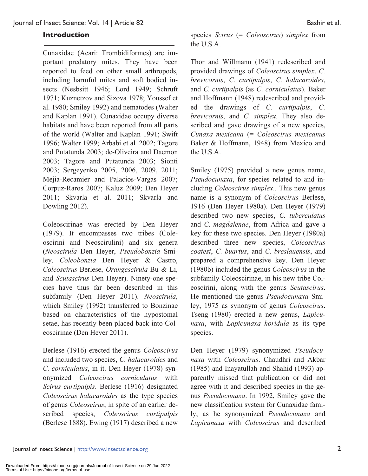#### **Introduction**

Cunaxidae (Acari: Trombidiformes) are important predatory mites. They have been reported to feed on other small arthropods, including harmful mites and soft bodied insects (Nesbsitt 1946; Lord 1949; Schruft 1971; Kuznetzov and Sizova 1978; Youssef et al. 1980; Smiley 1992) and nematodes (Walter and Kaplan 1991). Cunaxidae occupy diverse habitats and have been reported from all parts of the world (Walter and Kaplan 1991; Swift 1996; Walter 1999; Arbabi et al*.* 2002; Tagore and Putatunda 2003; de-Oliveira and Daemon 2003; Tagore and Putatunda 2003; Sionti 2003; Sergeyenko 2005, 2006, 2009, 2011; Mejia-Recamier and Palacios-Vargas 2007; Corpuz-Raros 2007; Kaluz 2009; Den Heyer 2011; Skvarla et al. 2011; Skvarla and Dowling 2012).

Coleoscirinae was erected by Den Heyer (1979). It encompasses two tribes (Coleoscirini and Neoscirulini) and six genera (*Neoscirula* Den Heyer, *Pseudobonzia* Smiley*, Coleobonzia* Den Heyer & Castro, *Coleoscirus* Berlese, *Orangescirula* Bu & Li, and *Scutascirus* Den Heyer). Ninety-one species have thus far been described in this subfamily (Den Heyer 2011). *Neoscirula*, which Smiley (1992) transferred to Bonzinae based on characteristics of the hypostomal setae, has recently been placed back into Coleoscirinae (Den Heyer 2011).

Berlese (1916) erected the genus *Coleoscirus* and included two species, *C. halacaroides* and *C. corniculatus*, in it. Den Heyer (1978) synonymized *Coleoscirus corniculatus* with *Scirus curtipalpis*. Berlese (1916) designated *Coleoscirus halacaroides* as the type species of genus *Coleoscirus*, in spite of an earlier described species, *Coleoscirus curtipalpis*  (Berlese 1888). Ewing (1917) described a new species *Scirus* (= *Coleoscirus*) *simplex* from the U.S.A.

Thor and Willmann (1941) redescribed and provided drawings of *Coleoscirus simplex*, *C. brevicornis*, *C. curtipalpis*, *C. halacaroides*, and *C. curtipalpis* (as *C*. *corniculatus*). Baker and Hoffmann (1948) redescribed and provided the drawings of *C. curtipalpis*, *C. brevicornis*, and *C. simplex*. They also described and gave drawings of a new species, *Cunaxa mexicana* (= *Coleoscirus mexicanus* Baker & Hoffmann, 1948) from Mexico and the U.S.A.

Smiley (1975) provided a new genus name, *Pseudocunaxa*, for species related to and including *Coleoscirus simplex*.. This new genus name is a synonym of *Coleoscirus* Berlese, 1916 (Den Heyer 1980a). Den Heyer (1979) described two new species, *C. tuberculatus* and *C. magdalenae*, from Africa and gave a key for these two species. Den Heyer (1980a) described three new species, *Coleoscirus coatesi*, *C. buartus*, and *C. breslauensis*, and prepared a comprehensive key. Den Heyer (1980b) included the genus *Coleoscirus* in the subfamily Coleoscirinae, in his new tribe Coleoscirini, along with the genus *Scutascirus*. He mentioned the genus *Pseudocunaxa* Smiley, 1975 as synonym of genus *Coleoscirus*. Tseng (1980) erected a new genus, *Lapicunaxa*, with *Lapicunaxa horidula* as its type species.

Den Heyer (1979) synonymized *Pseudocunaxa* with *Coleoscirus*. Chaudhri and Akbar (1985) and Inayatullah and Shahid (1993) apparently missed that publication or did not agree with it and described species in the genus *Pseudocunaxa*. In 1992, Smiley gave the new classification system for Cunaxidae family, as he synonymized *Pseudocunaxa* and *Lapicunaxa* with *Coleoscirus* and described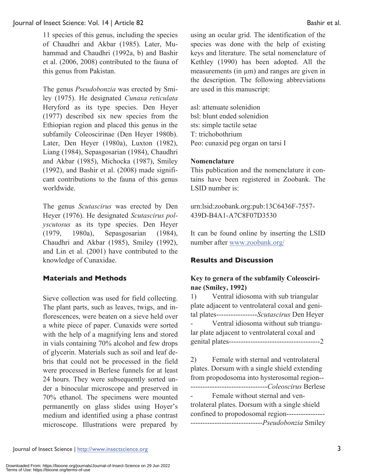11 species of this genus, including the species of Chaudhri and Akbar (1985). Later, Muhammad and Chaudhri (1992a, b) and Bashir et al. (2006, 2008) contributed to the fauna of this genus from Pakistan.

The genus *Pseudobonzia* was erected by Smiley (1975). He designated *Cunaxa reticulata* Heryford as its type species. Den Heyer (1977) described six new species from the Ethiopian region and placed this genus in the subfamily Coleoscirinae (Den Heyer 1980b). Later, Den Heyer (1980a), Luxton (1982), Liang (1984), Sepasgosarian (1984), Chaudhri and Akbar (1985), Michocka (1987), Smiley (1992), and Bashir et al. (2008) made significant contributions to the fauna of this genus worldwide.

The genus *Scutascirus* was erected by Den Heyer (1976). He designated *Scutascirus polyscutosus* as its type species. Den Heyer (1979, 1980a), Sepasgosarian (1984), Chaudhri and Akbar (1985), Smiley (1992), and Lin et al. (2001) have contributed to the knowledge of Cunaxidae.

#### **Materials and Methods**

Sieve collection was used for field collecting. The plant parts, such as leaves, twigs, and inflorescences, were beaten on a sieve held over a white piece of paper. Cunaxids were sorted with the help of a magnifying lens and stored in vials containing 70% alcohol and few drops of glycerin. Materials such as soil and leaf debris that could not be processed in the field were processed in Berlese funnels for at least 24 hours. They were subsequently sorted under a binocular microscope and preserved in 70% ethanol. The specimens were mounted permanently on glass slides using Hoyer's medium and identified using a phase contrast microscope. Illustrations were prepared by

using an ocular grid. The identification of the species was done with the help of existing keys and literature. The setal nomenclature of Kethley (1990) has been adopted. All the measurements (in  $\mu$ m) and ranges are given in the description. The following abbreviations are used in this manuscript:

asl: attenuate solenidion bsl: blunt ended solenidion sts: simple tactile setae T: trichobothrium Peo: cunaxid peg organ on tarsi I

#### **Nomenclature**

This publication and the nomenclature it contains have been registered in Zoobank. The LSID number is:

urn:lsid:zoobank.org:pub:13C6436F-7557- 439D-B4A1-A7C8F07D3530

It can be found online by inserting the LSID number after www.zoobank.org/

## **Results and Discussion**

### **Key to genera of the subfamily Coleoscirinae (Smiley, 1992)**

1) Ventral idiosoma with sub triangular plate adjacent to ventrolateral coxal and genital plates-----------------*Scutascirus* Den Heyer - Ventral idiosoma without sub triangular plate adjacent to ventrolateral coxal and genital plates--------------------------------------2

2) Female with sternal and ventrolateral plates. Dorsum with a single shield extending from propodosoma into hysterosomal region-- --------------------------------*Coleoscirus* Berlese - Female without sternal and ventrolateral plates. Dorsum with a single shield confined to propodosomal region----------------

------------------------------*Pseudobonzia* Smiley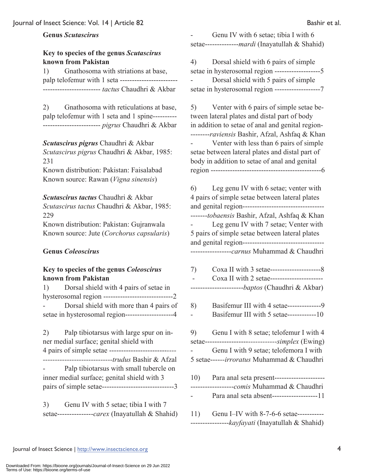#### **Genus** *Scutascirus*

### **Key to species of the genus** *Scutascirus*  **known from Pakistan**

1) Gnathosoma with striations at base, palp telofemur with 1 seta ------------------------ ------------------------ *tactus* Chaudhri & Akbar

2) Gnathosoma with reticulations at base, palp telofemur with 1 seta and 1 spine---------- ------------------------ *pigrus* Chaudhri & Akbar

#### *Scutascirus pigrus* Chaudhri & Akbar

*Scutascirus pigrus* Chaudhri & Akbar, 1985: 231

Known distribution: Pakistan: Faisalabad Known source: Rawan (*Vigna sinensis*)

#### *Scutascirus tactus* Chaudhri & Akbar

*Scutascirus tactus* Chaudhri & Akbar, 1985: 229 Known distribution: Pakistan: Gujranwala

Known source: Jute (*Corchorus capsularis*)

#### **Genus** *Coleoscirus*

#### **Key to species of the genus** *Coleoscirus*  **known from Pakistan**

1) Dorsal shield with 4 pairs of setae in hysterosomal region -----------------------------2 - Dorsal shield with more than 4 pairs of setae in hysterosomal region--------------------4

2) Palp tibiotarsus with large spur on inner medial surface; genital shield with 4 pairs of simple setae ------------------------*---- -----------------------------trudus* Bashir & Afzal Palp tibiotarsus with small tubercle on inner medial surface; genital shield with 3 pairs of simple setae------------------------------3

3) Genu IV with 5 setae; tibia I with 7 setae---------------*carex* (Inayatullah & Shahid)

Genu IV with 6 setae; tibia I with 6 setae--------------*mardi* (Inayatullah & Shahid)

4) Dorsal shield with 6 pairs of simple setae in hysterosomal region -------------------5 - Dorsal shield with 5 pairs of simple setae in hysterosomal region -------------------7

5) Venter with 6 pairs of simple setae between lateral plates and distal part of body in addition to setae of anal and genital region- --------*raviensis* Bashir, Afzal, Ashfaq & Khan

- Venter with less than 6 pairs of simple setae between lateral plates and distal part of body in addition to setae of anal and genital region ----------------------------------------------6

6) Leg genu IV with 6 setae; venter with 4 pairs of simple setae between lateral plates and genital region---------------------------------- -------*tobaensis* Bashir, Afzal, Ashfaq & Khan Leg genu IV with 7 setae; Venter with 5 pairs of simple setae between lateral plates and genital region---------------------------------- -----------------*carnus* Muhammad & Chaudhri

| 7)  | Coxa II with 2 setae-----------------------<br>---------------------- <i>-baptos</i> (Chaudhri & Akbar)                                                                                 |
|-----|-----------------------------------------------------------------------------------------------------------------------------------------------------------------------------------------|
| 8)  | Basifemur III with 4 setae----------------9<br>Basifemur III with 5 setae------------10                                                                                                 |
| 9)  | Genu I with 8 setae; telofemur I with 4<br>setae--------------------------------simplex (Ewing)<br>Genu I with 9 setae; telofemora I with<br>5 setae------irroratus Muhammad & Chaudhri |
| 10) | Para anal seta present----------------------<br>------------------comis Muhammad & Chaudhri<br>Para anal seta absent-------------------11                                               |
| 11) | Genu I-IV with 8-7-6-6 setae-----------                                                                                                                                                 |

----------------*kayfayati* (Inayatullah & Shahid)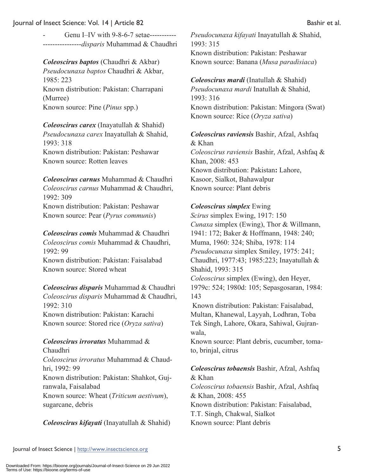Genu I–IV with 9-8-6-7 setae---------------------------*disparis* Muhammad & Chaudhri

## *Coleoscirus baptos* (Chaudhri & Akbar)

*Pseudocunaxa baptos* Chaudhri & Akbar, 1985: 223 Known distribution: Pakistan: Charrapani (Murree) Known source: Pine (*Pinus* spp.)

*Coleoscirus carex* (Inayatullah & Shahid) *Pseudocunaxa carex* Inayatullah & Shahid, 1993: 318 Known distribution: Pakistan: Peshawar Known source: Rotten leaves

### *Coleoscirus carnus* Muhammad & Chaudhri *Coleoscirus carnus* Muhammad & Chaudhri, 1992: 309

Known distribution: Pakistan: Peshawar Known source: Pear (*Pyrus communis*)

*Coleoscirus comis* Muhammad & Chaudhri *Coleoscirus comis* Muhammad & Chaudhri, 1992: 99 Known distribution: Pakistan: Faisalabad Known source: Stored wheat

*Coleoscirus disparis* Muhammad & Chaudhri *Coleoscirus disparis* Muhammad & Chaudhri, 1992: 310 Known distribution: Pakistan: Karachi Known source: Stored rice (*Oryza sativa*)

## *Coleoscirus irroratus* Muhammad &

Chaudhri *Coleoscirus irroratus* Muhammad & Chaudhri, 1992: 99 Known distribution: Pakistan: Shahkot, Gujranwala, Faisalabad Known source: Wheat (*Triticum aestivum*), sugarcane, debris

## *Coleoscirus kifayati* (Inayatullah & Shahid)

*Pseudocunaxa kifayati* Inayatullah & Shahid, 1993: 315 Known distribution: Pakistan: Peshawar Known source: Banana (*Musa paradisiaca*)

#### *Coleoscirus mardi* (Inatullah & Shahid)

*Pseudocunaxa mardi* Inatullah & Shahid, 1993: 316 Known distribution: Pakistan: Mingora (Swat) Known source: Rice (*Oryza sativa*)

## *Coleoscirus raviensis* Bashir, Afzal, Ashfaq & Khan

*Coleoscirus raviensis* Bashir, Afzal, Ashfaq & Khan, 2008: 453 Known distribution: Pakistan**:** Lahore, Kasoor, Sialkot, Bahawalpur Known source: Plant debris

#### *Coleoscirus simplex* Ewing

*Scirus* simplex Ewing, 1917: 150 *Cunaxa* simplex (Ewing), Thor & Willmann, 1941: 172; Baker & Hoffmann, 1948: 240; Muma, 1960: 324; Shiba, 1978: 114 *Pseudocunaxa* simplex Smiley, 1975: 241; Chaudhri, 1977:43; 1985:223; Inayatullah & Shahid, 1993: 315 *Coleoscirus* simplex (Ewing), den Heyer, 1979c: 524; 1980d: 105; Sepasgosaran, 1984: 143

Known distribution: Pakistan: Faisalabad, Multan, Khanewal, Layyah, Lodhran, Toba Tek Singh, Lahore, Okara, Sahiwal, Gujranwala,

Known source: Plant debris, cucumber, tomato, brinjal, citrus

#### *Coleoscirus tobaensis* Bashir, Afzal, Ashfaq & Khan

*Coleoscirus tobaensis* Bashir, Afzal, Ashfaq & Khan, 2008: 455 Known distribution: Pakistan: Faisalabad, T.T. Singh, Chakwal, Sialkot Known source: Plant debris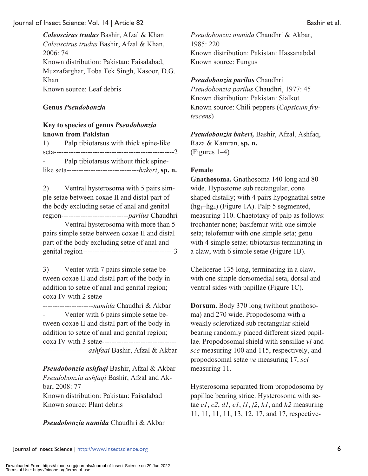*Coleoscirus trudus* Bashir, Afzal & Khan *Coleoscirus trudus* Bashir, Afzal & Khan, 2006: 74 Known distribution: Pakistan: Faisalabad, Muzzafarghar, Toba Tek Singh, Kasoor, D.G. Khan Known source: Leaf debris

#### **Genus** *Pseudobonzia*

### **Key to species of genus** *Pseudobonzia*  **known from Pakistan**

| 1)                 | Palp tibiotarsus with thick spine-like                  |
|--------------------|---------------------------------------------------------|
|                    |                                                         |
| <b>All Control</b> | Palp tibiotarsus without thick spine-                   |
|                    | like seta--------------------------------bakeri, sp. n. |

2) Ventral hysterosoma with 5 pairs simple setae between coxae II and distal part of the body excluding setae of anal and genital region----------------------------*parilus* Chaudhri Ventral hysterosoma with more than 5 pairs simple setae between coxae II and distal part of the body excluding setae of anal and genital region--------------------------------------3

3) Venter with 7 pairs simple setae between coxae II and distal part of the body in addition to setae of anal and genital region; coxa IV with 2 setae---------------------------- ---------------------*numida* Chaudhri & Akbar Venter with 6 pairs simple setae between coxae II and distal part of the body in addition to setae of anal and genital region;

coxa IV with 3 setae---------------------------------*-------------------ashfaqi* Bashir, Afzal & Akbar

*Pseudobonzia ashfaqi* Bashir, Afzal & Akbar *Pseudobonzia ashfaqi* Bashir, Afzal and Akbar, 2008: 77 Known distribution: Pakistan: Faisalabad Known source: Plant debris

*Pseudobonzia numida* Chaudhri & Akbar

*Pseudobonzia numida* Chaudhri & Akbar, 1985: 220 Known distribution: Pakistan: Hassanabdal Known source: Fungus

#### *Pseudobonzia parilus* Chaudhri

*Pseudobonzia parilus* Chaudhri, 1977: 45 Known distribution: Pakistan: Sialkot Known source: Chili peppers (*Capsicum frutescens*)

*Pseudobonzia bakeri,* Bashir, Afzal, Ashfaq, Raza & Kamran, **sp. n.**  (Figures 1–4)

#### **Female**

**Gnathosoma.** Gnathosoma 140 long and 80 wide. Hypostome sub rectangular, cone shaped distally; with 4 pairs hypognathal setae  $(hg_1-hg_4)$  (Figure 1A). Palp 5 segmented, measuring 110. Chaetotaxy of palp as follows: trochanter none; basifemur with one simple seta; telofemur with one simple seta; genu with 4 simple setae; tibiotarsus terminating in a claw, with 6 simple setae (Figure 1B).

Chelicerae 135 long, terminating in a claw, with one simple dorsomedial seta, dorsal and ventral sides with papillae (Figure 1C).

**Dorsum.** Body 370 long (without gnathosoma) and 270 wide. Propodosoma with a weakly sclerotized sub rectangular shield bearing randomly placed different sized papillae. Propodosomal shield with sensillae *vi* and *sce* measuring 100 and 115, respectively, and propodosomal setae *ve* measuring 17, *sci* measuring 11.

Hysterosoma separated from propodosoma by papillae bearing striae. Hysterosoma with setae *c1*, *c2*, *d1*, *e1*, *f1*, *f2*, *h1*, and *h2* measuring 11, 11, 11, 11, 13, 12, 17, and 17, respective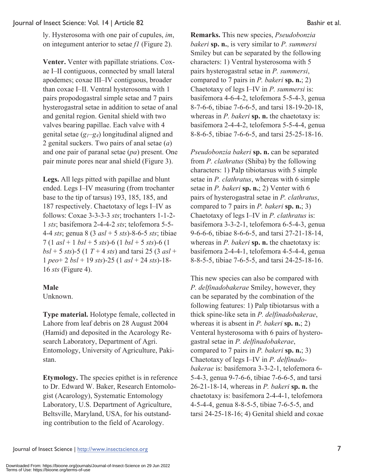ly. Hysterosoma with one pair of cupules, *im*, on integument anterior to setae *f1* (Figure 2).

**Venter.** Venter with papillate striations. Coxae I–II contiguous, connected by small lateral apodemes; coxae III–IV contiguous, broader than coxae I–II. Ventral hysterosoma with 1 pairs propodogastral simple setae and 7 pairs hysterogastral setae in addition to setae of anal and genital region. Genital shield with two valves bearing papillae. Each valve with 4 genital setae  $(g_1-g_4)$  longitudinal aligned and 2 genital suckers. Two pairs of anal setae (*a*) and one pair of paranal setae (*pa*) present. One pair minute pores near anal shield (Figure 3).

**Legs.** All legs pitted with papillae and blunt ended. Legs I–IV measuring (from trochanter base to the tip of tarsus) 193, 185, 185, and 187 respectively. Chaetotaxy of legs I–IV as follows: Coxae 3-3-3-3 *sts*; trochanters 1-1-2- 1 *sts*; basifemora 2-4-4-2 *sts*; telofemora 5-5- 4-4 *sts*; genua 8 (3 *asl* + 5 *sts*)-8-6-5 *sts*; tibiae 7 (1 *asl* + 1 *bsl* + 5 *sts*)-6 (1 *bsl* + 5 *sts*)-6 (1 *bsl* + 5 *sts*)-5 (1 *T* + 4 *sts*) and tarsi 25 (3 *asl* + 1 *peo*+ 2 *bsl* + 19 *sts*)-25 (1 *asl* + 24 *sts*)-18- 16 *sts* (Figure 4).

## **Male**

Unknown.

**Type material.** Holotype female, collected in Lahore from leaf debris on 28 August 2004 (Hamid) and deposited in the Acarology Research Laboratory, Department of Agri. Entomology, University of Agriculture, Pakistan.

**Etymology.** The species epithet is in reference to Dr. Edward W. Baker, Research Entomologist (Acarology), Systematic Entomology Laboratory, U.S. Department of Agriculture, Beltsville, Maryland, USA, for his outstanding contribution to the field of Acarology.

**Remarks.** This new species, *Pseudobonzia bakeri* **sp. n.**, is very similar to *P. summersi* Smiley but can be separated by the following characters: 1) Ventral hysterosoma with 5 pairs hysterogastral setae in *P. summersi*, compared to 7 pairs in *P. bakeri* **sp. n.**; 2) Chaetotaxy of legs I–IV in *P. summersi* is: basifemora 4-6-4-2, telofemora 5-5-4-3, genua 8-7-6-6, tibiae 7-6-6-5, and tarsi 18-19-20-18, whereas in *P. bakeri* **sp. n.** the chaetotaxy is: basifemora 2-4-4-2, telofemora 5-5-4-4, genua 8-8-6-5, tibiae 7-6-6-5, and tarsi 25-25-18-16.

*Pseudobonzia bakeri* **sp. n.** can be separated from *P. clathratus* (Shiba) by the following characters: 1) Palp tibiotarsus with 5 simple setae in *P. clathratus*, whereas with 6 simple setae in *P. bakeri* **sp. n.**; 2) Venter with 6 pairs of hysterogastral setae in *P. clathratus*, compared to 7 pairs in *P. bakeri* **sp. n.**; 3) Chaetotaxy of legs I–IV in *P. clathratus* is: basifemora 3-3-2-1, telofemora 6-5-4-3, genua 9-6-6-6, tibiae 8-6-6-5, and tarsi 27-21-18-14, whereas in *P. bakeri* **sp. n.** the chaetotaxy is: basifemora 2-4-4-1, telofemora 4-5-4-4, genua 8-8-5-5, tibiae 7-6-5-5, and tarsi 24-25-18-16.

This new species can also be compared with *P. delfinadobakerae* Smiley, however, they can be separated by the combination of the following features: 1) Palp tibiotarsus with a thick spine-like seta in *P. delfinadobakerae*, whereas it is absent in *P. bakeri* **sp. n.**; 2) Venteral hysterosoma with 6 pairs of hysterogastral setae in *P. delfinadobakerae*, compared to 7 pairs in *P. bakeri* **sp. n.**; 3) Chaetotaxy of legs I–IV in *P. delfinadobakerae* is: basifemora 3-3-2-1, telofemora 6- 5-4-3, genua 9-7-6-6, tibiae 7-6-6-5, and tarsi 26-21-18-14, whereas in *P. bakeri* **sp. n.** the chaetotaxy is: basifemora 2-4-4-1, telofemora 4-5-4-4, genua 8-8-5-5, tibiae 7-6-5-5, and tarsi 24-25-18-16; 4) Genital shield and coxae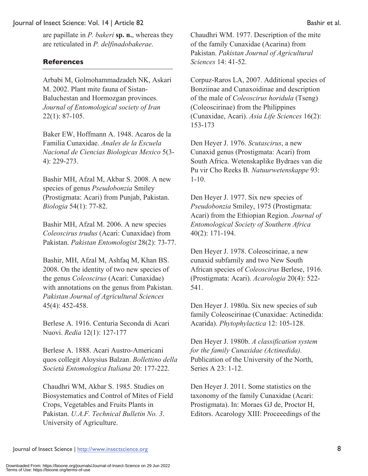are papillate in *P. bakeri* **sp. n.**, whereas they are reticulated in *P. delfinadobakerae*.

#### **References**

Arbabi M, Golmohammadzadeh NK, Askari M. 2002. Plant mite fauna of Sistan-Baluchestan and Hormozgan provinces. *Journal of Entomological society of Iran* 22(1): 87-105.

Baker EW, Hoffmann A. 1948. Acaros de la Familia Cunaxidae. *Anales de la Escuela Nacional de Ciencias Biologicas Mexico* 5(3- 4): 229-273.

Bashir MH, Afzal M, Akbar S. 2008. A new species of genus *Pseudobonzia* Smiley (Prostigmata: Acari) from Punjab, Pakistan. *Biologia* 54(1): 77-82.

Bashir MH, Afzal M. 2006. A new species *Coleoscirus trudus* (Acari: Cunaxidae) from Pakistan. *Pakistan Entomologist* 28(2): 73-77.

Bashir, MH, Afzal M, Ashfaq M, Khan BS. 2008. On the identity of two new species of the genus *Coleoscirus* (Acari: Cunaxidae) with annotations on the genus from Pakistan. *Pakistan Journal of Agricultural Sciences* 45(4): 452-458.

Berlese A. 1916. Centuria Seconda di Acari Nuovi. *Redia* 12(1): 127-177

Berlese A. 1888. Acari Austro-Americani quos collegit Aloysius Balzan. *Bollettino della Società Entomologica Italiana* 20: 177-222.

Chaudhri WM, Akbar S. 1985. Studies on Biosystematics and Control of Mites of Field Crops, Vegetables and Fruits Plants in Pakistan. *U.A.F. Technical Bulletin No. 3*. University of Agriculture.

Chaudhri WM. 1977. Description of the mite of the family Cunaxidae (Acarina) from Pakistan. *Pakistan Journal of Agricultural Sciences* 14: 41-52.

Corpuz-Raros LA, 2007. Additional species of Bonziinae and Cunaxoidinae and description of the male of *Coleoscirus horidula* (Tseng) (Coleoscirinae) from the Philippines (Cunaxidae, Acari). *Asia Life Sciences* 16(2): 153-173

Den Heyer J. 1976. *Scutascirus*, a new Cunaxid genus (Prostigmata: Acari) from South Africa. Wetenskaplike Bydraes van die Pu vir Cho Reeks B. *Natuurwetenskappe* 93: 1-10.

Den Heyer J. 1977. Six new species of *Pseudobonzia* Smiley, 1975 (Prostigmata: Acari) from the Ethiopian Region. *Journal of Entomological Society of Southern Africa* 40(2): 171-194.

Den Heyer J. 1978. Coleoscirinae, a new cunaxid subfamily and two New South African species of *Coleoscirus* Berlese, 1916. (Prostigmata: Acari). *Acarologia* 20(4): 522- 541.

Den Heyer J. 1980a. Six new species of sub family Coleoscirinae (Cunaxidae: Actinedida: Acarida). *Phytophylactica* 12: 105-128.

Den Heyer J. 1980b. *A classification system for the family Cunaxidae (Actinedida).* Publication of the University of the North, Series A 23: 1-12.

Den Heyer J. 2011. Some statistics on the taxonomy of the family Cunaxidae (Acari: Prostigmata). In: Moraes GJ de, Proctor H, Editors. Acarology XIII: Proceeedings of the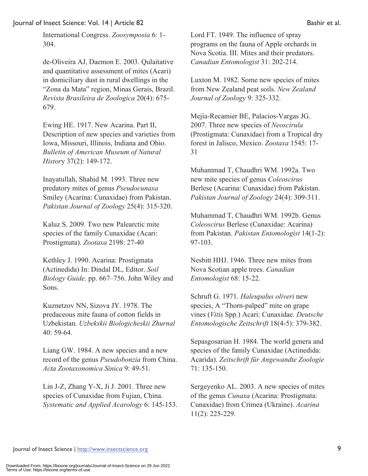International Congress. *Zoosymposia* 6: 1- 304.

de-Oliveira AJ, Daemon E. 2003. Qulaitative and quantitative assessment of mites (Acari) in domiciliary dust in rural dwellings in the "Zona da Mata" region, Minas Gerais, Brazil. *Revista Brasileira de Zoologica* 20(4): 675- 679.

Ewing HE. 1917. New Acarina. Part II, Description of new species and varieties from Iowa, Missouri, Illinois, Indiana and Ohio. *Bulletin of American Museum of Natural Histor*y 37(2): 149-172.

Inayatullah, Shahid M. 1993. Three new predatory mites of genus *Pseudocunaxa* Smiley (Acarina: Cunaxidae) from Pakistan. *Pakistan Journal of Zoology* 25(4): 315-320.

Kaluz S. 2009. Two new Palearctic mite species of the family Cunaxidae (Acari: Prostigmata). *Zootaxa* 2198: 27-40

Kethley J. 1990. Acarina: Prostigmata (Actinedida) In: Dindal DL, Editor. *Soil Biology Guide*. pp. 667–756. John Wiley and Sons.

Kuznetzov NN, Sizova JY. 1978. The predaceous mite fauna of cotton fields in Uzbekistan. *Uzbekskii Biologicheskii Zhurnal* 40: 59-64.

Liang GW. 1984. A new species and a new record of the genus *Pseudobonzia* from China. *Acta Zootaxonomica Sinica* 9: 49-51.

Lin J-Z, Zhang Y-X, Ji J. 2001. Three new species of Cunaxidae from Fujian, China. *Systematic and Applied Acarology* 6: 145-153.

Lord FT. 1949. The influence of spray programs on the fauna of Apple orchards in Nova Scotia. III. Mites and their predators. *Canadian Entomologist* 31: 202-214.

Luxton M. 1982. Some new species of mites from New Zealand peat soils. *New Zealand Journal of Zoology* 9: 325-332.

Mejía-Recamier BE, Palacios-Vargas JG. 2007. Three new species of *Neoscirula*  (Prostigmata: Cunaxidae) from a Tropical dry forest in Jalisco, Mexico. *Zootaxa* 1545: 17- 31

Muhammad T, Chaudhri WM. 1992a. Two new mite species of genus *Coleoscirus* Berlese (Acarina: Cunaxidae) from Pakistan. *Pakistan Journal of Zoology* 24(4): 309-311.

Muhammad T, Chaudhri WM. 1992b. Genus *Coleoscirus* Berlese (Cunaxidae: Acarina) from Pakistan. *Pakistan Entomologist* 14(1-2): 97-103.

Nesbitt HHJ. 1946. Three new mites from Nova Scotian apple trees. *Canadian Entomologist* 68: 15-22.

Schruft G. 1971. *Haleupalus oliveri* new species, A "Thorn-palped" mite on grape vines (*Vitis* Spp.) Acari: Cunaxidae. *Deutsche Entomologische Zeitschrift* 18(4-5): 379-382.

Sepasgosarian H. 1984. The world genera and species of the family Cunaxidae (Actinedida: Acarida). *Zeitschrift für Angewandte Zoologie* 71: 135-150.

Sergeyenko AL. 2003. A new species of mites of the genus *Cunaxa* (Acarina: Prostigmata: Cunaxidae) from Crimea (Ukraine). *Acarina* 11(2): 225-229.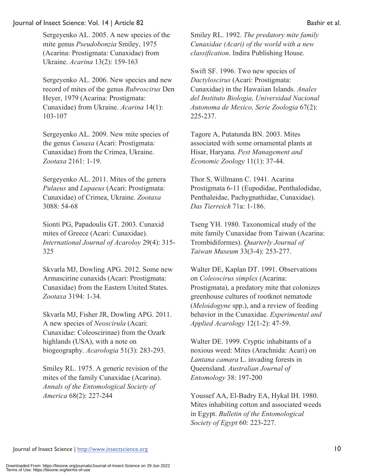Sergeyenko AL. 2005. A new species of the mite genus *Pseudobonzia* Smiley, 1975 (Acarina: Prostigmata: Cunaxidae) from Ukraine. *Acarina* 13(2): 159-163

Sergeyenko AL. 2006. New species and new record of mites of the genus *Rubroscirus* Den Heyer, 1979 (Acarina: Prostigmata: Cunaxidae) from Ukraine. *Acarina* 14(1): 103-107

Sergeyenko AL. 2009. New mite species of the genus *Cunaxa* (Acari: Prostigmata: Cunaxidae) from the Crimea, Ukraine. *Zootaxa* 2161: 1-19.

Sergeyenko AL. 2011. Mites of the genera *Pulaeus* and *Lupaeus* (Acari: Prostigmata: Cunaxidae) of Crimea, Ukraine. *Zootaxa* 3088: 54-68

Sionti PG, Papadoulis GT. 2003. Cunaxid mites of Greece (Acari: Cunaxidae). *International Journal of Acaroloy* 29(4): 315- 325

Skvarla MJ, Dowling APG. 2012. Some new Armascirine cunaxids (Acari: Prostigmata: Cunaxidae) from the Eastern United States. *Zootaxa* 3194: 1-34.

Skvarla MJ, Fisher JR, Dowling APG. 2011. A new species of *Neoscirula* (Acari: Cunaxidae: Coleoscirinae) from the Ozark highlands (USA), with a note on biogeography. *Acarologia* 51(3): 283-293.

Smiley RL. 1975. A generic revision of the mites of the family Cunaxidae (Acarina). *Annals of the Entomological Society of America* 68(2): 227-244

Smiley RL. 1992. *The predatory mite family Cunaxidae (Acari) of the world with a new classification*. Indira Publishing House.

Swift SF. 1996. Two new species of *Dactyloscirus* (Acari: Prostigmata: Cunaxidae) in the Hawaiian Islands. *Anales del Instituto Biologia, Universidad Nacional Autonoma de Mexico, Serie Zoologia* 67(2): 225-237.

Tagore A, Putatunda BN. 2003. Mites associated with some ornamental plants at Hisar, Haryana. *Pest Management and Economic Zoology* 11(1): 37-44.

Thor S, Willmann C. 1941. Acarina Prostigmata 6-11 (Eupodidae, Penthalodidae, Penthaleidae, Pachygnathidae, Cunaxidae). *Das Tierreich* 71a: 1-186.

Tseng YH. 1980. Taxonomical study of the mite family Cunaxidae from Taiwan (Acarina: Trombidiformes). *Quarterly Journal of Taiwan Museum* 33(3-4): 253-277.

Walter DE, Kaplan DT. 1991. Observations on *Coleoscirus simplex* (Acarina: Prostigmata), a predatory mite that colonizes greenhouse cultures of rootknot nematode (*Meloidogyne* spp.), and a review of feeding behavior in the Cunaxidae. *Experimental and Applied Acarology* 12(1-2): 47-59.

Walter DE. 1999. Cryptic inhabitants of a noxious weed: Mites (Arachnida: Acari) on *Lantana camara* L. invading forests in Queensland. *Australian Journal of Entomology* 38: 197-200

Youssef AA, El-Badry EA, Hykal IH. 1980. Mites inhabiting cotton and associated weeds in Egypt. *Bulletin of the Entomological Society of Egypt* 60: 223-227.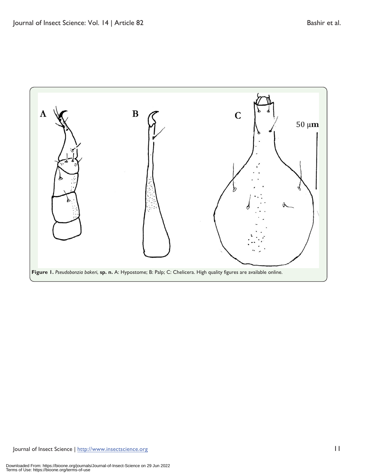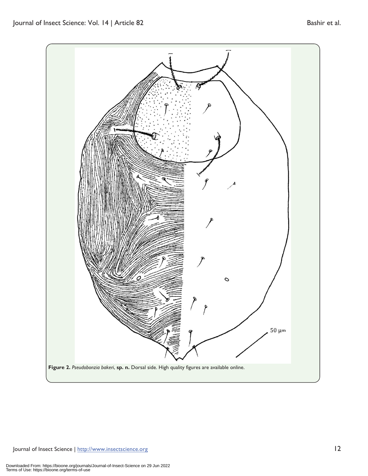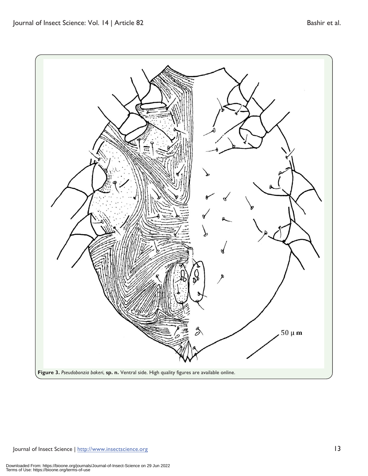